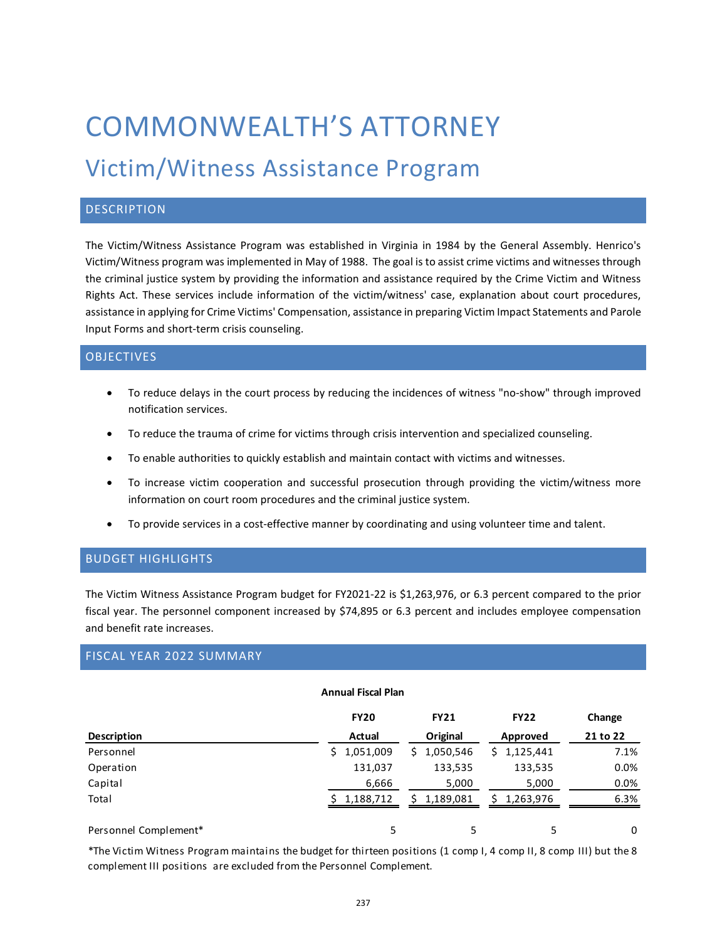# COMMONWEALTH'S ATTORNEY

## Victim/Witness Assistance Program

#### **DESCRIPTION**

The Victim/Witness Assistance Program was established in Virginia in 1984 by the General Assembly. Henrico's Victim/Witness program was implemented in May of 1988. The goal is to assist crime victims and witnesses through the criminal justice system by providing the information and assistance required by the Crime Victim and Witness Rights Act. These services include information of the victim/witness' case, explanation about court procedures, assistance in applying for Crime Victims' Compensation, assistance in preparing Victim Impact Statements and Parole Input Forms and short-term crisis counseling.

#### **OBJECTIVES**

- To reduce delays in the court process by reducing the incidences of witness "no-show" through improved notification services.
- To reduce the trauma of crime for victims through crisis intervention and specialized counseling.
- To enable authorities to quickly establish and maintain contact with victims and witnesses.
- To increase victim cooperation and successful prosecution through providing the victim/witness more information on court room procedures and the criminal justice system.
- To provide services in a cost-effective manner by coordinating and using volunteer time and talent.

#### BUDGET HIGHLIGHTS

The Victim Witness Assistance Program budget for FY2021-22 is \$1,263,976, or 6.3 percent compared to the prior fiscal year. The personnel component increased by \$74,895 or 6.3 percent and includes employee compensation and benefit rate increases.

#### FISCAL YEAR 2022 SUMMARY

#### **Annual Fiscal Plan**

|                       | <b>FY20</b>     | <b>FY21</b>     | <b>FY22</b>     | Change   |
|-----------------------|-----------------|-----------------|-----------------|----------|
| <b>Description</b>    | Actual          | Original        | Approved        | 21 to 22 |
| Personnel             | 1,051,009<br>S. | 1,050,546<br>S. | 1,125,441<br>S. | 7.1%     |
| Operation             | 131,037         | 133,535         | 133,535         | 0.0%     |
| Capital               | 6,666           | 5,000           | 5,000           | 0.0%     |
| Total                 | 1,188,712       | 1,189,081<br>Ś. | 1,263,976       | 6.3%     |
| Personnel Complement* |                 | 5               | 5               | 0        |

\*The Victim Witness Program maintains the budget for thirteen positions (1 comp I, 4 comp II, 8 comp III) but the 8 complement III positions are excluded from the Personnel Complement.